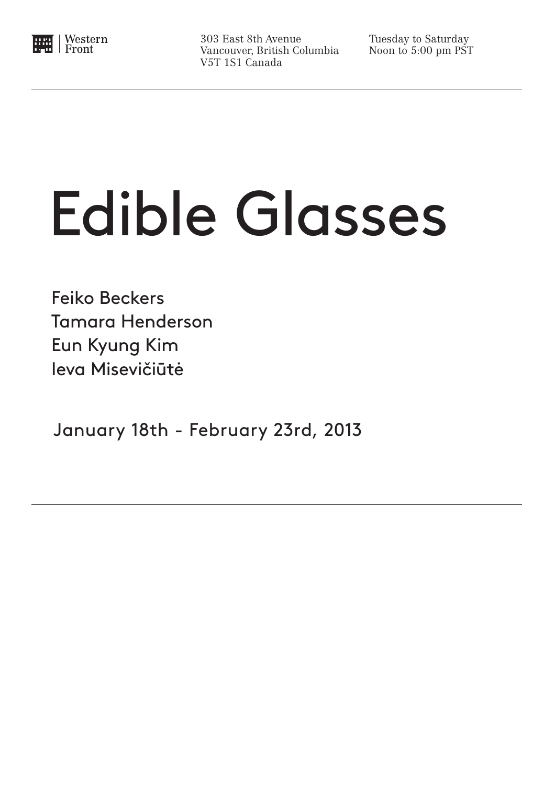

303 East 8th Avenue Vancouver, British Columbia V5T 1S1 Canada

Tuesday to Saturday Noon to 5:00 pm PST

## Edible Glasses

 Feiko Beckers Tamara Henderson Eun Kyung Kim Ieva Misevičiūtė

January 18th - February 23rd, 2013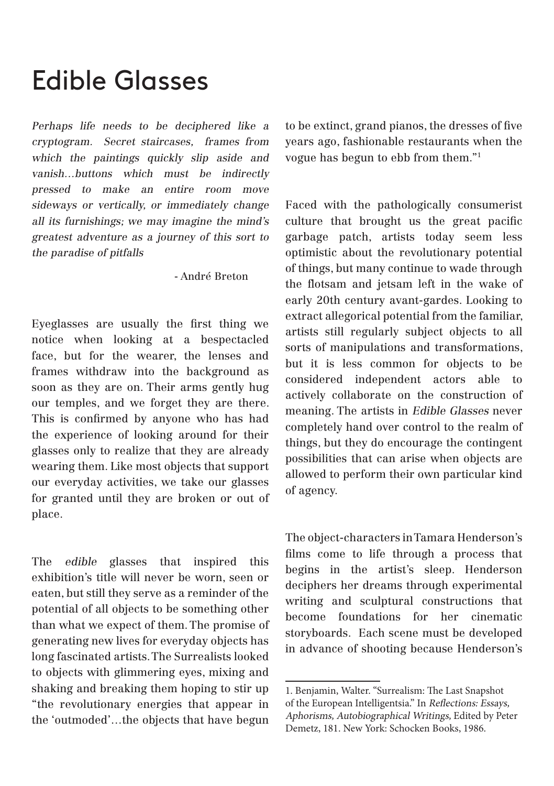## Edible Glasses

Perhaps life needs to be deciphered like a cryptogram. Secret staircases, frames from which the paintings quickly slip aside and vanish…buttons which must be indirectly pressed to make an entire room move sideways or vertically, or immediately change all its furnishings; we may imagine the mind's greatest adventure as a journey of this sort to the paradise of pitfalls

- André Breton

Eyeglasses are usually the first thing we notice when looking at a bespectacled face, but for the wearer, the lenses and frames withdraw into the background as soon as they are on. Their arms gently hug our temples, and we forget they are there. This is confirmed by anyone who has had the experience of looking around for their glasses only to realize that they are already wearing them. Like most objects that support our everyday activities, we take our glasses for granted until they are broken or out of place.

The edible glasses that inspired this exhibition's title will never be worn, seen or eaten, but still they serve as a reminder of the potential of all objects to be something other than what we expect of them. The promise of generating new lives for everyday objects has long fascinated artists. The Surrealists looked to objects with glimmering eyes, mixing and shaking and breaking them hoping to stir up "the revolutionary energies that appear in the 'outmoded'…the objects that have begun to be extinct, grand pianos, the dresses of five years ago, fashionable restaurants when the vogue has begun to ebb from them."1

Faced with the pathologically consumerist culture that brought us the great pacific garbage patch, artists today seem less optimistic about the revolutionary potential of things, but many continue to wade through the flotsam and jetsam left in the wake of early 20th century avant-gardes. Looking to extract allegorical potential from the familiar, artists still regularly subject objects to all sorts of manipulations and transformations, but it is less common for objects to be considered independent actors able to actively collaborate on the construction of meaning. The artists in Edible Glasses never completely hand over control to the realm of things, but they do encourage the contingent possibilities that can arise when objects are allowed to perform their own particular kind of agency.

The object-characters in Tamara Henderson's films come to life through a process that begins in the artist's sleep. Henderson deciphers her dreams through experimental writing and sculptural constructions that become foundations for her cinematic storyboards. Each scene must be developed in advance of shooting because Henderson's

<sup>1.</sup> Benjamin, Walter. "Surrealism: The Last Snapshot of the European Intelligentsia." In Reflections: Essays, Aphorisms, Autobiographical Writings, Edited by Peter Demetz, 181. New York: Schocken Books, 1986.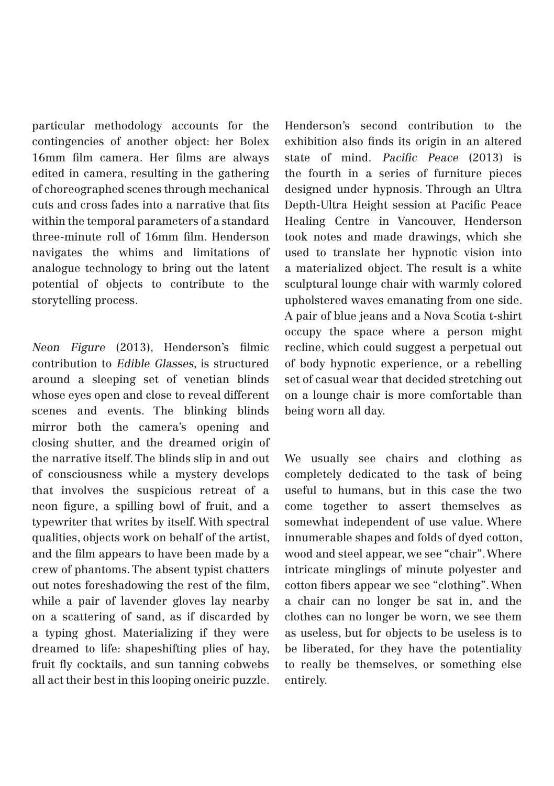particular methodology accounts for the contingencies of another object: her Bolex 16mm film camera. Her films are always edited in camera, resulting in the gathering of choreographed scenes through mechanical cuts and cross fades into a narrative that fits within the temporal parameters of a standard three-minute roll of 16mm film. Henderson navigates the whims and limitations of analogue technology to bring out the latent potential of objects to contribute to the storytelling process.

Neon Figure (2013), Henderson's filmic contribution to Edible Glasses, is structured around a sleeping set of venetian blinds whose eyes open and close to reveal different scenes and events. The blinking blinds mirror both the camera's opening and closing shutter, and the dreamed origin of the narrative itself. The blinds slip in and out of consciousness while a mystery develops that involves the suspicious retreat of a neon figure, a spilling bowl of fruit, and a typewriter that writes by itself. With spectral qualities, objects work on behalf of the artist, and the film appears to have been made by a crew of phantoms. The absent typist chatters out notes foreshadowing the rest of the film, while a pair of lavender gloves lay nearby on a scattering of sand, as if discarded by a typing ghost. Materializing if they were dreamed to life: shapeshifting plies of hay, fruit fly cocktails, and sun tanning cobwebs all act their best in this looping oneiric puzzle. Henderson's second contribution to the exhibition also finds its origin in an altered state of mind. Pacific Peace (2013) is the fourth in a series of furniture pieces designed under hypnosis. Through an Ultra Depth-Ultra Height session at Pacific Peace Healing Centre in Vancouver, Henderson took notes and made drawings, which she used to translate her hypnotic vision into a materialized object. The result is a white sculptural lounge chair with warmly colored upholstered waves emanating from one side. A pair of blue jeans and a Nova Scotia t-shirt occupy the space where a person might recline, which could suggest a perpetual out of body hypnotic experience, or a rebelling set of casual wear that decided stretching out on a lounge chair is more comfortable than being worn all day.

We usually see chairs and clothing as completely dedicated to the task of being useful to humans, but in this case the two come together to assert themselves as somewhat independent of use value. Where innumerable shapes and folds of dyed cotton, wood and steel appear, we see "chair". Where intricate minglings of minute polyester and cotton fibers appear we see "clothing". When a chair can no longer be sat in, and the clothes can no longer be worn, we see them as useless, but for objects to be useless is to be liberated, for they have the potentiality to really be themselves, or something else entirely.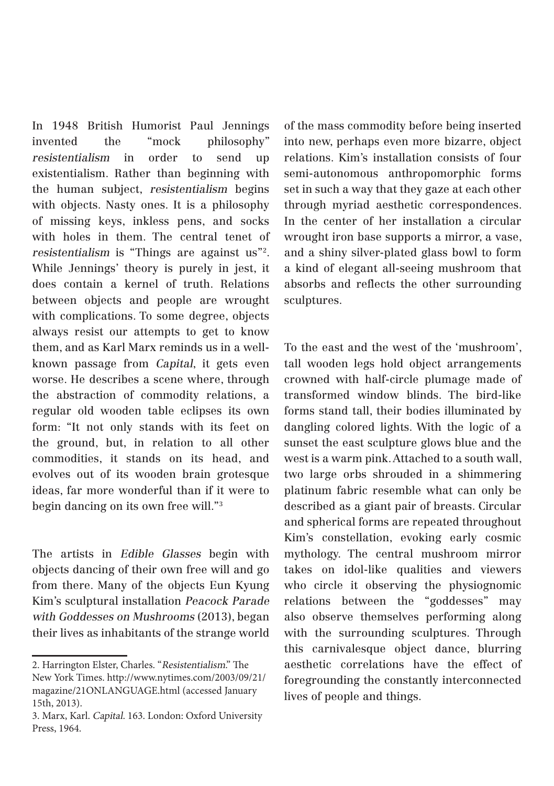In 1948 British Humorist Paul Jennings invented the "mock philosophy" resistentialism in order to send up existentialism. Rather than beginning with the human subject, resistentialism begins with objects. Nasty ones. It is a philosophy of missing keys, inkless pens, and socks with holes in them. The central tenet of resistentialism is "Things are against us"2. While Jennings' theory is purely in jest, it does contain a kernel of truth. Relations between objects and people are wrought with complications. To some degree, objects always resist our attempts to get to know them, and as Karl Marx reminds us in a wellknown passage from Capital, it gets even worse. He describes a scene where, through the abstraction of commodity relations, a regular old wooden table eclipses its own form: "It not only stands with its feet on the ground, but, in relation to all other commodities, it stands on its head, and evolves out of its wooden brain grotesque ideas, far more wonderful than if it were to begin dancing on its own free will."3

The artists in Edible Glasses begin with objects dancing of their own free will and go from there. Many of the objects Eun Kyung Kim's sculptural installation Peacock Parade with Goddesses on Mushrooms (2013), began their lives as inhabitants of the strange world

of the mass commodity before being inserted into new, perhaps even more bizarre, object relations. Kim's installation consists of four semi-autonomous anthropomorphic forms set in such a way that they gaze at each other through myriad aesthetic correspondences. In the center of her installation a circular wrought iron base supports a mirror, a vase, and a shiny silver-plated glass bowl to form a kind of elegant all-seeing mushroom that absorbs and reflects the other surrounding sculptures.

To the east and the west of the 'mushroom', tall wooden legs hold object arrangements crowned with half-circle plumage made of transformed window blinds. The bird-like forms stand tall, their bodies illuminated by dangling colored lights. With the logic of a sunset the east sculpture glows blue and the west is a warm pink. Attached to a south wall, two large orbs shrouded in a shimmering platinum fabric resemble what can only be described as a giant pair of breasts. Circular and spherical forms are repeated throughout Kim's constellation, evoking early cosmic mythology. The central mushroom mirror takes on idol-like qualities and viewers who circle it observing the physiognomic relations between the "goddesses" may also observe themselves performing along with the surrounding sculptures. Through this carnivalesque object dance, blurring aesthetic correlations have the effect of foregrounding the constantly interconnected lives of people and things.

<sup>2.</sup> Harrington Elster, Charles. "Resistentialism." The New York Times. http://www.nytimes.com/2003/09/21/ magazine/21ONLANGUAGE.html (accessed January 15th, 2013).

<sup>3.</sup> Marx, Karl. Capital. 163. London: Oxford University Press, 1964.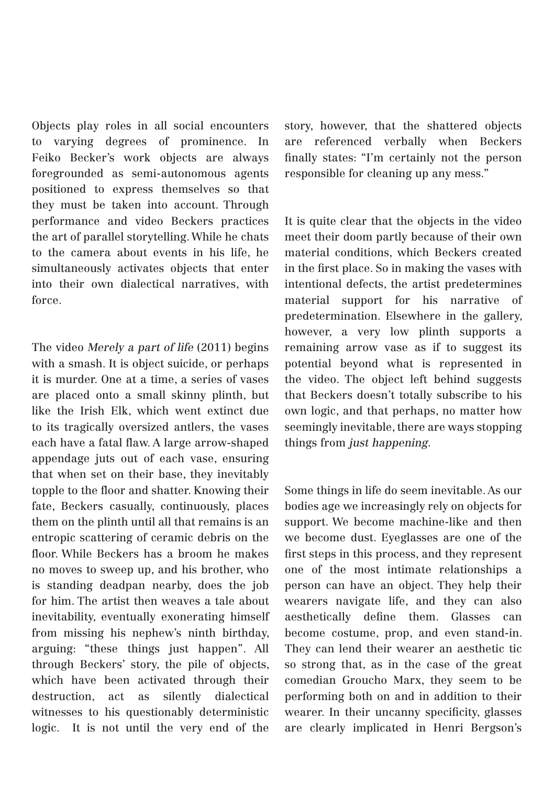Objects play roles in all social encounters to varying degrees of prominence. In Feiko Becker's work objects are always foregrounded as semi-autonomous agents positioned to express themselves so that they must be taken into account. Through performance and video Beckers practices the art of parallel storytelling. While he chats to the camera about events in his life, he simultaneously activates objects that enter into their own dialectical narratives, with force.

The video Merely a part of life (2011) begins with a smash. It is object suicide, or perhaps it is murder. One at a time, a series of vases are placed onto a small skinny plinth, but like the Irish Elk, which went extinct due to its tragically oversized antlers, the vases each have a fatal flaw. A large arrow-shaped appendage juts out of each vase, ensuring that when set on their base, they inevitably topple to the floor and shatter. Knowing their fate, Beckers casually, continuously, places them on the plinth until all that remains is an entropic scattering of ceramic debris on the floor. While Beckers has a broom he makes no moves to sweep up, and his brother, who is standing deadpan nearby, does the job for him. The artist then weaves a tale about inevitability, eventually exonerating himself from missing his nephew's ninth birthday, arguing: "these things just happen". All through Beckers' story, the pile of objects, which have been activated through their destruction, act as silently dialectical witnesses to his questionably deterministic logic. It is not until the very end of the

story, however, that the shattered objects are referenced verbally when Beckers finally states: "I'm certainly not the person responsible for cleaning up any mess."

It is quite clear that the objects in the video meet their doom partly because of their own material conditions, which Beckers created in the first place. So in making the vases with intentional defects, the artist predetermines material support for his narrative of predetermination. Elsewhere in the gallery, however, a very low plinth supports a remaining arrow vase as if to suggest its potential beyond what is represented in the video. The object left behind suggests that Beckers doesn't totally subscribe to his own logic, and that perhaps, no matter how seemingly inevitable, there are ways stopping things from just happening.

Some things in life do seem inevitable. As our bodies age we increasingly rely on objects for support. We become machine-like and then we become dust. Eyeglasses are one of the first steps in this process, and they represent one of the most intimate relationships a person can have an object. They help their wearers navigate life, and they can also aesthetically define them. Glasses can become costume, prop, and even stand-in. They can lend their wearer an aesthetic tic so strong that, as in the case of the great comedian Groucho Marx, they seem to be performing both on and in addition to their wearer. In their uncanny specificity, glasses are clearly implicated in Henri Bergson's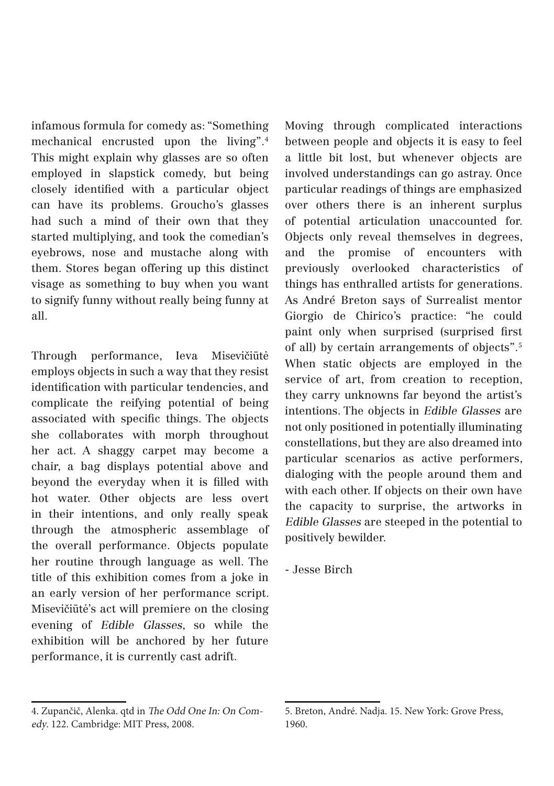infamous formula for comedy as: "Something mechanical encrusted upon the living".4 This might explain why glasses are so often employed in slapstick comedy, but being closely identified with a particular object can have its problems. Groucho's glasses had such a mind of their own that they started multiplying, and took the comedian's eyebrows, nose and mustache along with them. Stores began offering up this distinct visage as something to buy when you want to signify funny without really being funny at all.

Through performance, Ieva Misevičiūtė employs objects in such a way that they resist identification with particular tendencies, and complicate the reifying potential of being associated with specific things. The objects she collaborates with morph throughout her act. A shaggy carpet may become a chair, a bag displays potential above and beyond the everyday when it is filled with hot water. Other objects are less overt in their intentions, and only really speak through the atmospheric assemblage of the overall performance. Objects populate her routine through language as well. The title of this exhibition comes from a joke in an early version of her performance script. Misevičiūtė's act will premiere on the closing evening of Edible Glasses, so while the exhibition will be anchored by her future performance, it is currently cast adrift.

Moving through complicated interactions between people and objects it is easy to feel a little bit lost, but whenever objects are involved understandings can go astray. Once particular readings of things are emphasized over others there is an inherent surplus of potential articulation unaccounted for. Objects only reveal themselves in degrees, and the promise of encounters with previously overlooked characteristics of things has enthralled artists for generations. As André Breton says of Surrealist mentor Giorgio de Chirico's practice: "he could paint only when surprised (surprised first of all) by certain arrangements of objects".5 When static objects are employed in the service of art, from creation to reception, they carry unknowns far beyond the artist's intentions. The objects in Edible Glasses are not only positioned in potentially illuminating constellations, but they are also dreamed into particular scenarios as active performers, dialoging with the people around them and with each other. If objects on their own have the capacity to surprise, the artworks in Edible Glasses are steeped in the potential to positively bewilder.

- Jesse Birch

<sup>4.</sup> Zupančič, Alenka. qtd in The Odd One In: On Comedy. 122. Cambridge: MIT Press, 2008.

<sup>5.</sup> Breton, André. Nadja. 15. New York: Grove Press, 1960.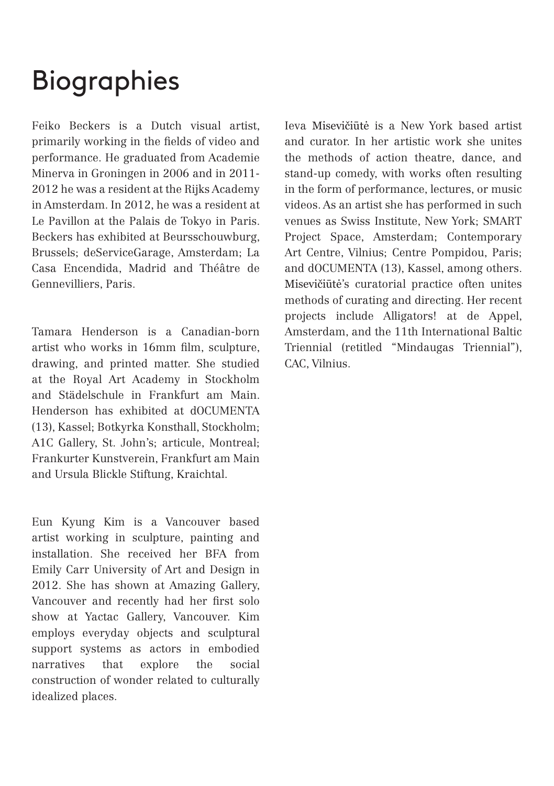## Biographies

Feiko Beckers is a Dutch visual artist, primarily working in the fields of video and performance. He graduated from Academie Minerva in Groningen in 2006 and in 2011- 2012 he was a resident at the Rijks Academy in Amsterdam. In 2012, he was a resident at Le Pavillon at the Palais de Tokyo in Paris. Beckers has exhibited at Beursschouwburg, Brussels; deServiceGarage, Amsterdam; La Casa Encendida, Madrid and Théâtre de Gennevilliers, Paris.

Tamara Henderson is a Canadian-born artist who works in 16mm film, sculpture, drawing, and printed matter. She studied at the Royal Art Academy in Stockholm and Städelschule in Frankfurt am Main. Henderson has exhibited at dOCUMENTA (13), Kassel; Botkyrka Konsthall, Stockholm; A1C Gallery, St. John's; articule, Montreal; Frankurter Kunstverein, Frankfurt am Main and Ursula Blickle Stiftung, Kraichtal.

Eun Kyung Kim is a Vancouver based artist working in sculpture, painting and installation. She received her BFA from Emily Carr University of Art and Design in 2012. She has shown at Amazing Gallery, Vancouver and recently had her first solo show at Yactac Gallery, Vancouver. Kim employs everyday objects and sculptural support systems as actors in embodied narratives that explore the social construction of wonder related to culturally idealized places.

Ieva Misevičiūtė is a New York based artist and curator. In her artistic work she unites the methods of action theatre, dance, and stand-up comedy, with works often resulting in the form of performance, lectures, or music videos. As an artist she has performed in such venues as Swiss Institute, New York; SMART Project Space, Amsterdam; Contemporary Art Centre, Vilnius; Centre Pompidou, Paris; and dOCUMENTA (13), Kassel, among others. Misevičiūtė's curatorial practice often unites methods of curating and directing. Her recent projects include Alligators! at de Appel, Amsterdam, and the 11th International Baltic Triennial (retitled "Mindaugas Triennial"), CAC, Vilnius.